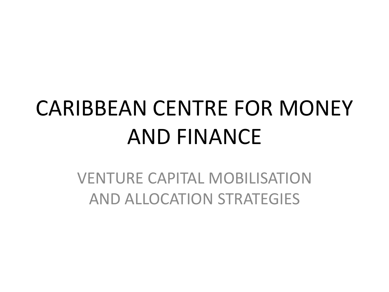# CARIBBEAN CENTRE FOR MONEY AND FINANCE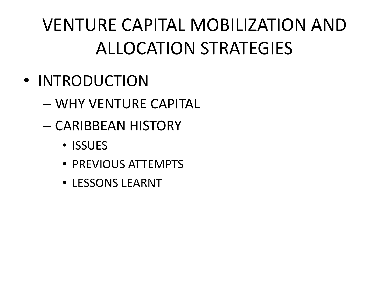- INTRODUCTION
	- WHY VENTURE CAPITAL
	- CARIBBEAN HISTORY
		- ISSUES
		- PREVIOUS ATTEMPTS
		- LESSONS LEARNT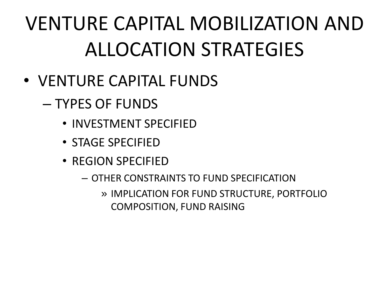- VENTURE CAPITAL FUNDS
	- TYPES OF FUNDS
		- INVESTMENT SPECIFIED
		- STAGE SPECIFIED
		- REGION SPECIFIED
			- OTHER CONSTRAINTS TO FUND SPECIFICATION
				- » IMPLICATION FOR FUND STRUCTURE, PORTFOLIO COMPOSITION, FUND RAISING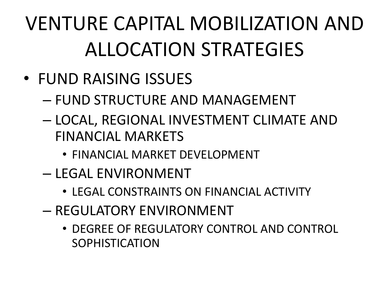- FUND RAISING ISSUES
	- FUND STRUCTURE AND MANAGEMENT
	- LOCAL, REGIONAL INVESTMENT CLIMATE AND FINANCIAL MARKETS
		- FINANCIAL MARKET DEVELOPMENT
	- LEGAL ENVIRONMENT
		- LEGAL CONSTRAINTS ON FINANCIAL ACTIVITY
	- REGULATORY ENVIRONMENT
		- DEGREE OF REGULATORY CONTROL AND CONTROL SOPHISTICATION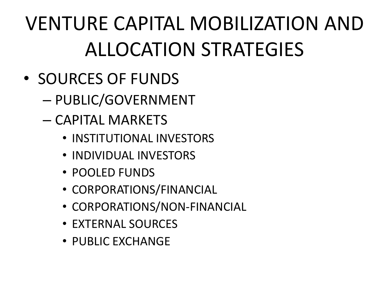- SOURCES OF FUNDS
	- PUBLIC/GOVERNMENT
	- CAPITAL MARKETS
		- INSTITUTIONAL INVESTORS
		- INDIVIDUAL INVESTORS
		- POOLED FUNDS
		- CORPORATIONS/FINANCIAL
		- CORPORATIONS/NON-FINANCIAL
		- EXTERNAL SOURCES
		- PUBLIC EXCHANGE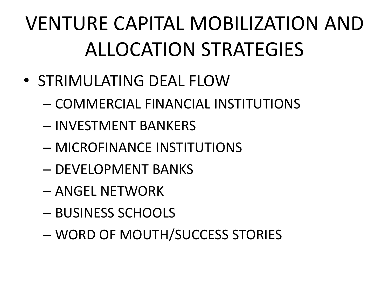- STRIMULATING DEAL FLOW
	- COMMERCIAL FINANCIAL INSTITUTIONS
	- INVESTMENT BANKERS
	- MICROFINANCE INSTITUTIONS
	- DEVELOPMENT BANKS
	- ANGEL NETWORK
	- BUSINESS SCHOOLS
	- WORD OF MOUTH/SUCCESS STORIES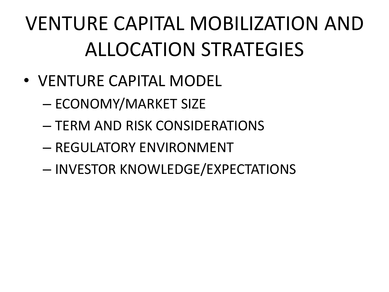- VENTURE CAPITAL MODEL
	- ECONOMY/MARKET SIZE
	- TERM AND RISK CONSIDERATIONS
	- REGULATORY ENVIRONMENT
	- INVESTOR KNOWLEDGE/EXPECTATIONS